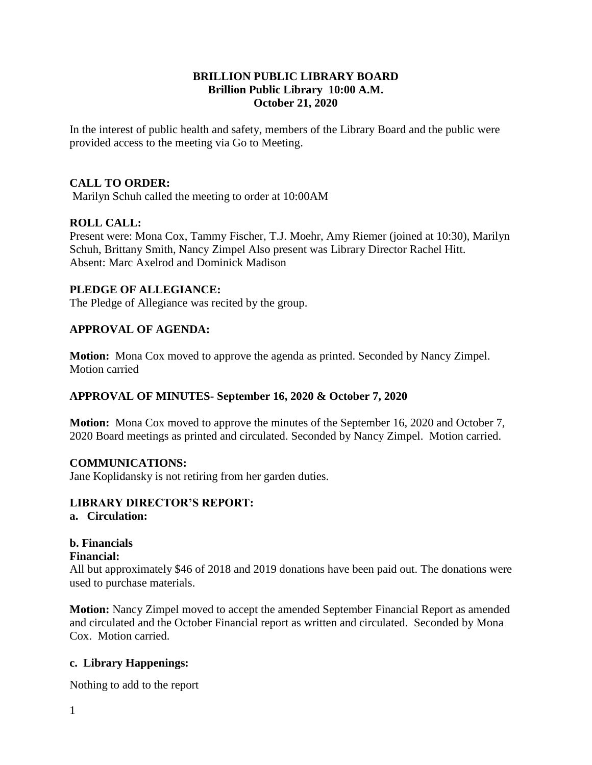## **BRILLION PUBLIC LIBRARY BOARD Brillion Public Library 10:00 A.M. October 21, 2020**

In the interest of public health and safety, members of the Library Board and the public were provided access to the meeting via Go to Meeting.

## **CALL TO ORDER:**

Marilyn Schuh called the meeting to order at 10:00AM

## **ROLL CALL:**

Present were: Mona Cox, Tammy Fischer, T.J. Moehr, Amy Riemer (joined at 10:30), Marilyn Schuh, Brittany Smith, Nancy Zimpel Also present was Library Director Rachel Hitt. Absent: Marc Axelrod and Dominick Madison

## **PLEDGE OF ALLEGIANCE:**

The Pledge of Allegiance was recited by the group.

## **APPROVAL OF AGENDA:**

**Motion:** Mona Cox moved to approve the agenda as printed. Seconded by Nancy Zimpel. Motion carried

## **APPROVAL OF MINUTES- September 16, 2020 & October 7, 2020**

**Motion:** Mona Cox moved to approve the minutes of the September 16, 2020 and October 7, 2020 Board meetings as printed and circulated. Seconded by Nancy Zimpel. Motion carried.

#### **COMMUNICATIONS:**

Jane Koplidansky is not retiring from her garden duties.

#### **LIBRARY DIRECTOR'S REPORT:**

## **a. Circulation:**

# **b. Financials**

#### **Financial:**

All but approximately \$46 of 2018 and 2019 donations have been paid out. The donations were used to purchase materials.

**Motion:** Nancy Zimpel moved to accept the amended September Financial Report as amended and circulated and the October Financial report as written and circulated. Seconded by Mona Cox. Motion carried.

## **c. Library Happenings:**

Nothing to add to the report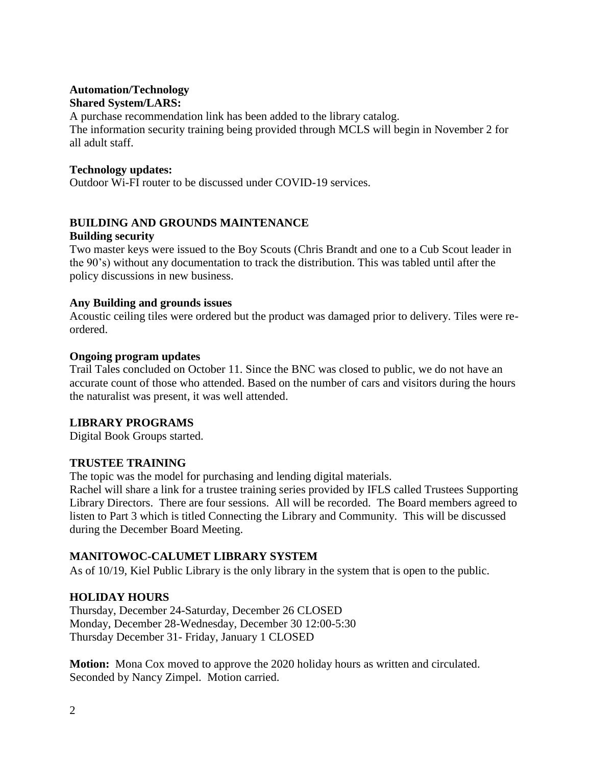# **Automation/Technology**

**Shared System/LARS:** 

A purchase recommendation link has been added to the library catalog. The information security training being provided through MCLS will begin in November 2 for all adult staff.

## **Technology updates:**

Outdoor Wi-FI router to be discussed under COVID-19 services.

## **BUILDING AND GROUNDS MAINTENANCE**

## **Building security**

Two master keys were issued to the Boy Scouts (Chris Brandt and one to a Cub Scout leader in the 90's) without any documentation to track the distribution. This was tabled until after the policy discussions in new business.

## **Any Building and grounds issues**

Acoustic ceiling tiles were ordered but the product was damaged prior to delivery. Tiles were reordered.

## **Ongoing program updates**

Trail Tales concluded on October 11. Since the BNC was closed to public, we do not have an accurate count of those who attended. Based on the number of cars and visitors during the hours the naturalist was present, it was well attended.

## **LIBRARY PROGRAMS**

Digital Book Groups started.

## **TRUSTEE TRAINING**

The topic was the model for purchasing and lending digital materials.

Rachel will share a link for a trustee training series provided by IFLS called Trustees Supporting Library Directors. There are four sessions. All will be recorded. The Board members agreed to listen to Part 3 which is titled Connecting the Library and Community. This will be discussed during the December Board Meeting.

## **MANITOWOC-CALUMET LIBRARY SYSTEM**

As of 10/19, Kiel Public Library is the only library in the system that is open to the public.

## **HOLIDAY HOURS**

Thursday, December 24-Saturday, December 26 CLOSED Monday, December 28-Wednesday, December 30 12:00-5:30 Thursday December 31- Friday, January 1 CLOSED

**Motion:** Mona Cox moved to approve the 2020 holiday hours as written and circulated. Seconded by Nancy Zimpel. Motion carried.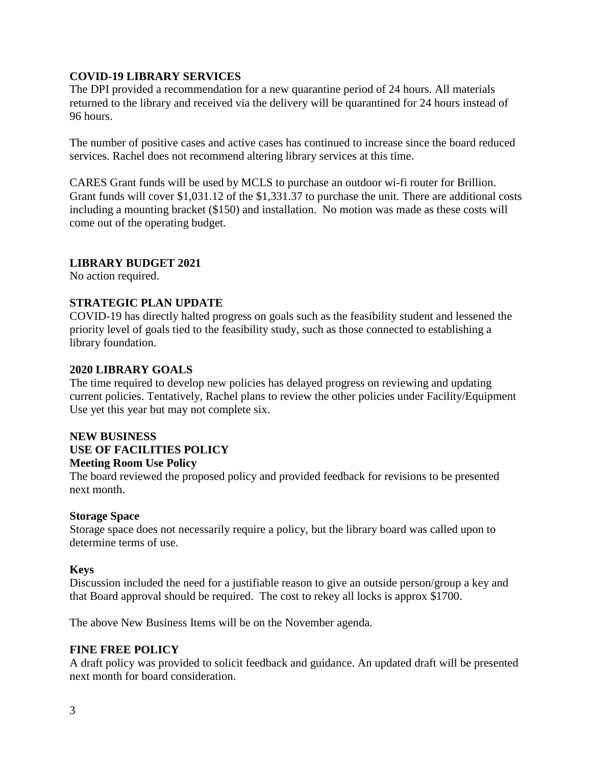## **COVID-19 LIBRARY SERVICES**

The DPI provided a recommendation for a new quarantine period of 24 hours. All materials returned to the library and received via the delivery will be quarantined for 24 hours instead of 96 hours.

The number of positive cases and active cases has continued to increase since the board reduced services. Rachel does not recommend altering library services at this time.

CARES Grant funds will be used by MCLS to purchase an outdoor wi-fi router for Brillion. Grant funds will cover \$1,031.12 of the \$1,331.37 to purchase the unit. There are additional costs including a mounting bracket (\$150) and installation. No motion was made as these costs will come out of the operating budget.

## **LIBRARY BUDGET 2021**

No action required.

## **STRATEGIC PLAN UPDATE**

COVID-19 has directly halted progress on goals such as the feasibility student and lessened the priority level of goals tied to the feasibility study, such as those connected to establishing a library foundation.

## **2020 LIBRARY GOALS**

The time required to develop new policies has delayed progress on reviewing and updating current policies. Tentatively, Rachel plans to review the other policies under Facility/Equipment Use yet this year but may not complete six.

#### **NEW BUSINESS USE OF FACILITIES POLICY Meeting Room Use Policy**

The board reviewed the proposed policy and provided feedback for revisions to be presented next month.

## **Storage Space**

Storage space does not necessarily require a policy, but the library board was called upon to determine terms of use.

## **Keys**

Discussion included the need for a justifiable reason to give an outside person/group a key and that Board approval should be required. The cost to rekey all locks is approx \$1700.

The above New Business Items will be on the November agenda.

## **FINE FREE POLICY**

A draft policy was provided to solicit feedback and guidance. An updated draft will be presented next month for board consideration.